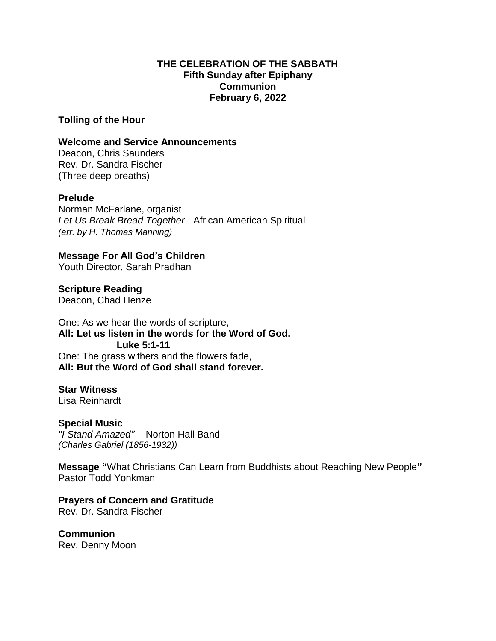#### **THE CELEBRATION OF THE SABBATH Fifth Sunday after Epiphany Communion February 6, 2022**

**Tolling of the Hour**

#### **Welcome and Service Announcements**

Deacon, Chris Saunders Rev. Dr. Sandra Fischer (Three deep breaths)

## **Prelude**

Norman McFarlane, organist *Let Us Break Bread Together* - African American Spiritual *(arr. by H. Thomas Manning)*

**Message For All God's Children** Youth Director, Sarah Pradhan

**Scripture Reading** Deacon, Chad Henze

One: As we hear the words of scripture, **All: Let us listen in the words for the Word of God. Luke 5:1-11** One: The grass withers and the flowers fade, **All: But the Word of God shall stand forever.**

## **Star Witness**

Lisa Reinhardt

## **Special Music**

*"I Stand Amazed"* Norton Hall Band *(Charles Gabriel (1856-1932))*

**Message "**What Christians Can Learn from Buddhists about Reaching New People**"** Pastor Todd Yonkman

**Prayers of Concern and Gratitude** Rev. Dr. Sandra Fischer

**Communion** Rev. Denny Moon